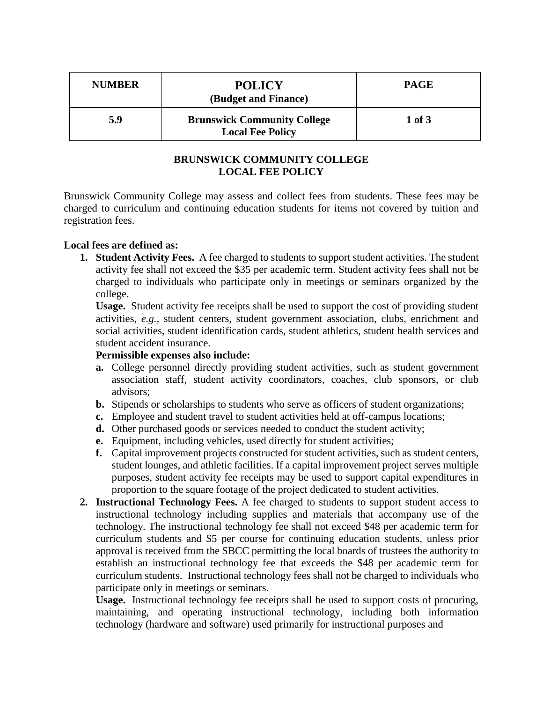| <b>NUMBER</b> | <b>POLICY</b><br>(Budget and Finance)                         | <b>PAGE</b> |
|---------------|---------------------------------------------------------------|-------------|
| 5.9           | <b>Brunswick Community College</b><br><b>Local Fee Policy</b> | $1$ of $3$  |

## **BRUNSWICK COMMUNITY COLLEGE LOCAL FEE POLICY**

Brunswick Community College may assess and collect fees from students. These fees may be charged to curriculum and continuing education students for items not covered by tuition and registration fees.

## **Local fees are defined as:**

**1. Student Activity Fees.** A fee charged to students to support student activities. The student activity fee shall not exceed the \$35 per academic term. Student activity fees shall not be charged to individuals who participate only in meetings or seminars organized by the college.

**Usage.** Student activity fee receipts shall be used to support the cost of providing student activities, *e.g.*, student centers, student government association, clubs, enrichment and social activities, student identification cards, student athletics, student health services and student accident insurance.

## **Permissible expenses also include:**

- **a.** College personnel directly providing student activities, such as student government association staff, student activity coordinators, coaches, club sponsors, or club advisors;
- **b.** Stipends or scholarships to students who serve as officers of student organizations;
- **c.** Employee and student travel to student activities held at off-campus locations;
- **d.** Other purchased goods or services needed to conduct the student activity;
- **e.** Equipment, including vehicles, used directly for student activities;
- **f.** Capital improvement projects constructed for student activities, such as student centers, student lounges, and athletic facilities. If a capital improvement project serves multiple purposes, student activity fee receipts may be used to support capital expenditures in proportion to the square footage of the project dedicated to student activities.
- **2. Instructional Technology Fees.** A fee charged to students to support student access to instructional technology including supplies and materials that accompany use of the technology. The instructional technology fee shall not exceed \$48 per academic term for curriculum students and \$5 per course for continuing education students, unless prior approval is received from the SBCC permitting the local boards of trustees the authority to establish an instructional technology fee that exceeds the \$48 per academic term for curriculum students. Instructional technology fees shall not be charged to individuals who participate only in meetings or seminars.

**Usage.** Instructional technology fee receipts shall be used to support costs of procuring, maintaining, and operating instructional technology, including both information technology (hardware and software) used primarily for instructional purposes and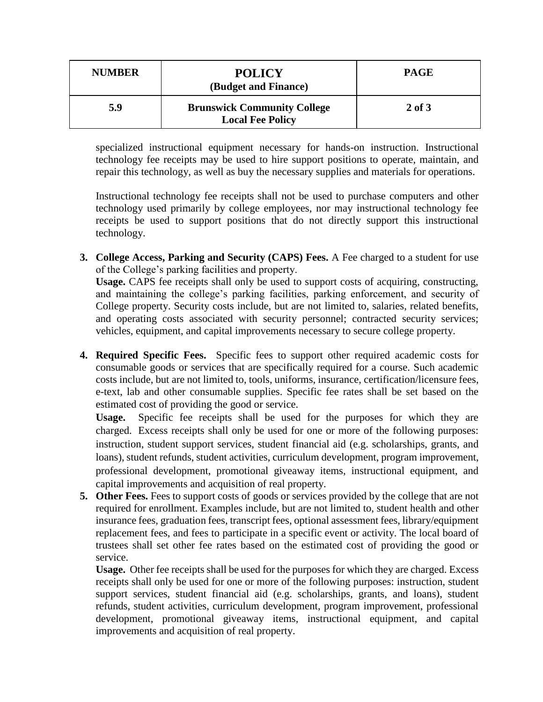| <b>NUMBER</b> | <b>POLICY</b><br>(Budget and Finance)                         | <b>PAGE</b> |
|---------------|---------------------------------------------------------------|-------------|
| 5.9           | <b>Brunswick Community College</b><br><b>Local Fee Policy</b> | 2 of 3      |

specialized instructional equipment necessary for hands-on instruction. Instructional technology fee receipts may be used to hire support positions to operate, maintain, and repair this technology, as well as buy the necessary supplies and materials for operations.

Instructional technology fee receipts shall not be used to purchase computers and other technology used primarily by college employees, nor may instructional technology fee receipts be used to support positions that do not directly support this instructional technology.

**3. College Access, Parking and Security (CAPS) Fees.** A Fee charged to a student for use of the College's parking facilities and property.

**Usage.** CAPS fee receipts shall only be used to support costs of acquiring, constructing, and maintaining the college's parking facilities, parking enforcement, and security of College property. Security costs include, but are not limited to, salaries, related benefits, and operating costs associated with security personnel; contracted security services; vehicles, equipment, and capital improvements necessary to secure college property.

**4. Required Specific Fees.** Specific fees to support other required academic costs for consumable goods or services that are specifically required for a course. Such academic costs include, but are not limited to, tools, uniforms, insurance, certification/licensure fees, e-text, lab and other consumable supplies. Specific fee rates shall be set based on the estimated cost of providing the good or service.

**Usage.** Specific fee receipts shall be used for the purposes for which they are charged. Excess receipts shall only be used for one or more of the following purposes: instruction, student support services, student financial aid (e.g. scholarships, grants, and loans), student refunds, student activities, curriculum development, program improvement, professional development, promotional giveaway items, instructional equipment, and capital improvements and acquisition of real property.

**5. Other Fees.** Fees to support costs of goods or services provided by the college that are not required for enrollment. Examples include, but are not limited to, student health and other insurance fees, graduation fees, transcript fees, optional assessment fees, library/equipment replacement fees, and fees to participate in a specific event or activity. The local board of trustees shall set other fee rates based on the estimated cost of providing the good or service.

**Usage.** Other fee receipts shall be used for the purposes for which they are charged. Excess receipts shall only be used for one or more of the following purposes: instruction, student support services, student financial aid (e.g. scholarships, grants, and loans), student refunds, student activities, curriculum development, program improvement, professional development, promotional giveaway items, instructional equipment, and capital improvements and acquisition of real property.